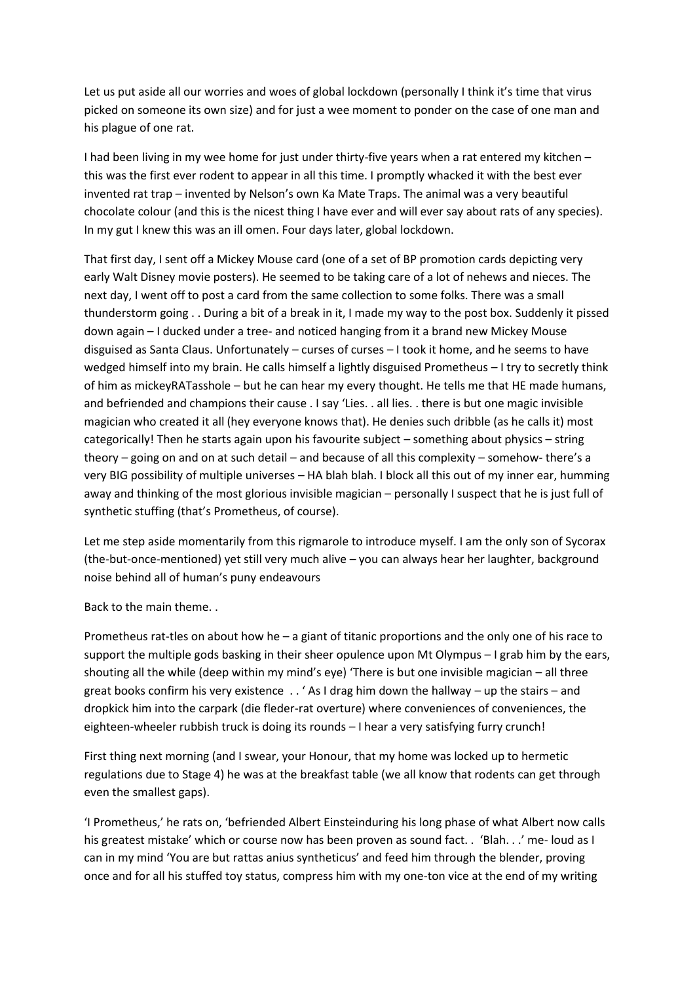Let us put aside all our worries and woes of global lockdown (personally I think it's time that virus picked on someone its own size) and for just a wee moment to ponder on the case of one man and his plague of one rat.

I had been living in my wee home for just under thirty-five years when a rat entered my kitchen – this was the first ever rodent to appear in all this time. I promptly whacked it with the best ever invented rat trap – invented by Nelson's own Ka Mate Traps. The animal was a very beautiful chocolate colour (and this is the nicest thing I have ever and will ever say about rats of any species). In my gut I knew this was an ill omen. Four days later, global lockdown.

That first day, I sent off a Mickey Mouse card (one of a set of BP promotion cards depicting very early Walt Disney movie posters). He seemed to be taking care of a lot of nehews and nieces. The next day, I went off to post a card from the same collection to some folks. There was a small thunderstorm going . . During a bit of a break in it, I made my way to the post box. Suddenly it pissed down again – I ducked under a tree- and noticed hanging from it a brand new Mickey Mouse disguised as Santa Claus. Unfortunately – curses of curses – I took it home, and he seems to have wedged himself into my brain. He calls himself a lightly disguised Prometheus – I try to secretly think of him as mickeyRATasshole – but he can hear my every thought. He tells me that HE made humans, and befriended and champions their cause . I say 'Lies. . all lies. . there is but one magic invisible magician who created it all (hey everyone knows that). He denies such dribble (as he calls it) most categorically! Then he starts again upon his favourite subject – something about physics – string theory – going on and on at such detail – and because of all this complexity – somehow- there's a very BIG possibility of multiple universes – HA blah blah. I block all this out of my inner ear, humming away and thinking of the most glorious invisible magician – personally I suspect that he is just full of synthetic stuffing (that's Prometheus, of course).

Let me step aside momentarily from this rigmarole to introduce myself. I am the only son of Sycorax (the-but-once-mentioned) yet still very much alive – you can always hear her laughter, background noise behind all of human's puny endeavours

Back to the main theme. .

Prometheus rat-tles on about how he – a giant of titanic proportions and the only one of his race to support the multiple gods basking in their sheer opulence upon Mt Olympus – I grab him by the ears, shouting all the while (deep within my mind's eye) 'There is but one invisible magician – all three great books confirm his very existence . . ' As I drag him down the hallway – up the stairs – and dropkick him into the carpark (die fleder-rat overture) where conveniences of conveniences, the eighteen-wheeler rubbish truck is doing its rounds – I hear a very satisfying furry crunch!

First thing next morning (and I swear, your Honour, that my home was locked up to hermetic regulations due to Stage 4) he was at the breakfast table (we all know that rodents can get through even the smallest gaps).

'I Prometheus,' he rats on, 'befriended Albert Einsteinduring his long phase of what Albert now calls his greatest mistake' which or course now has been proven as sound fact. . 'Blah. . .' me- loud as I can in my mind 'You are but rattas anius syntheticus' and feed him through the blender, proving once and for all his stuffed toy status, compress him with my one-ton vice at the end of my writing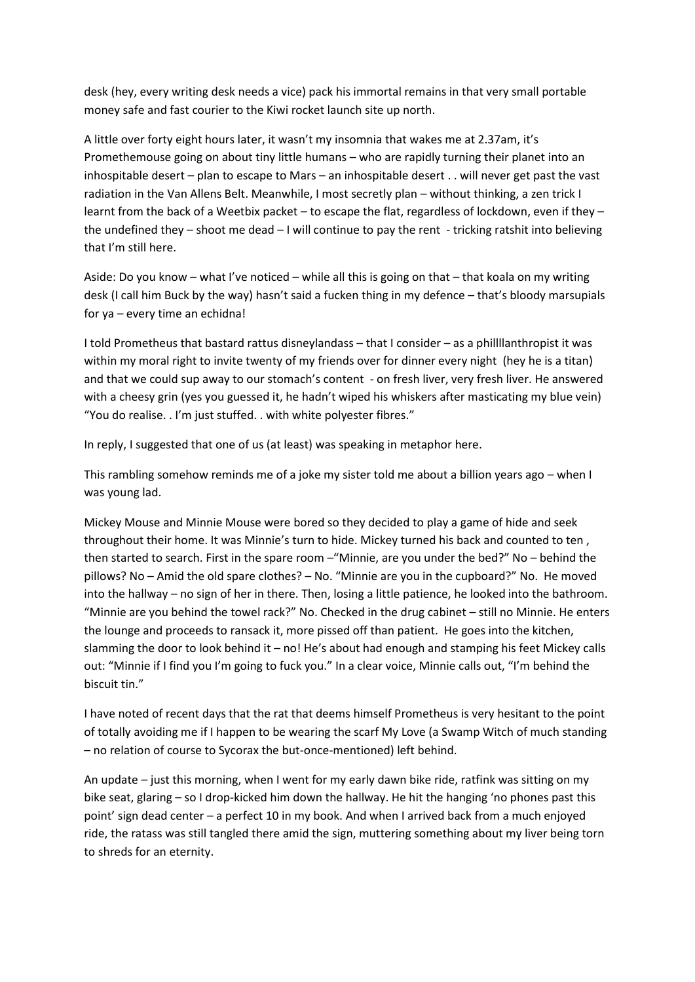desk (hey, every writing desk needs a vice) pack his immortal remains in that very small portable money safe and fast courier to the Kiwi rocket launch site up north.

A little over forty eight hours later, it wasn't my insomnia that wakes me at 2.37am, it's Promethemouse going on about tiny little humans – who are rapidly turning their planet into an inhospitable desert – plan to escape to Mars – an inhospitable desert . . will never get past the vast radiation in the Van Allens Belt. Meanwhile, I most secretly plan – without thinking, a zen trick I learnt from the back of a Weetbix packet – to escape the flat, regardless of lockdown, even if they – the undefined they – shoot me dead – I will continue to pay the rent - tricking ratshit into believing that I'm still here.

Aside: Do you know – what I've noticed – while all this is going on that – that koala on my writing desk (I call him Buck by the way) hasn't said a fucken thing in my defence – that's bloody marsupials for ya – every time an echidna!

I told Prometheus that bastard rattus disneylandass – that I consider – as a phillllanthropist it was within my moral right to invite twenty of my friends over for dinner every night (hey he is a titan) and that we could sup away to our stomach's content - on fresh liver, very fresh liver. He answered with a cheesy grin (yes you guessed it, he hadn't wiped his whiskers after masticating my blue vein) "You do realise. . I'm just stuffed. . with white polyester fibres."

In reply, I suggested that one of us (at least) was speaking in metaphor here.

This rambling somehow reminds me of a joke my sister told me about a billion years ago – when I was young lad.

Mickey Mouse and Minnie Mouse were bored so they decided to play a game of hide and seek throughout their home. It was Minnie's turn to hide. Mickey turned his back and counted to ten , then started to search. First in the spare room –"Minnie, are you under the bed?" No – behind the pillows? No – Amid the old spare clothes? – No. "Minnie are you in the cupboard?" No. He moved into the hallway – no sign of her in there. Then, losing a little patience, he looked into the bathroom. "Minnie are you behind the towel rack?" No. Checked in the drug cabinet – still no Minnie. He enters the lounge and proceeds to ransack it, more pissed off than patient. He goes into the kitchen, slamming the door to look behind it – no! He's about had enough and stamping his feet Mickey calls out: "Minnie if I find you I'm going to fuck you." In a clear voice, Minnie calls out, "I'm behind the biscuit tin."

I have noted of recent days that the rat that deems himself Prometheus is very hesitant to the point of totally avoiding me if I happen to be wearing the scarf My Love (a Swamp Witch of much standing – no relation of course to Sycorax the but-once-mentioned) left behind.

An update – just this morning, when I went for my early dawn bike ride, ratfink was sitting on my bike seat, glaring – so I drop-kicked him down the hallway. He hit the hanging 'no phones past this point' sign dead center – a perfect 10 in my book. And when I arrived back from a much enjoyed ride, the ratass was still tangled there amid the sign, muttering something about my liver being torn to shreds for an eternity.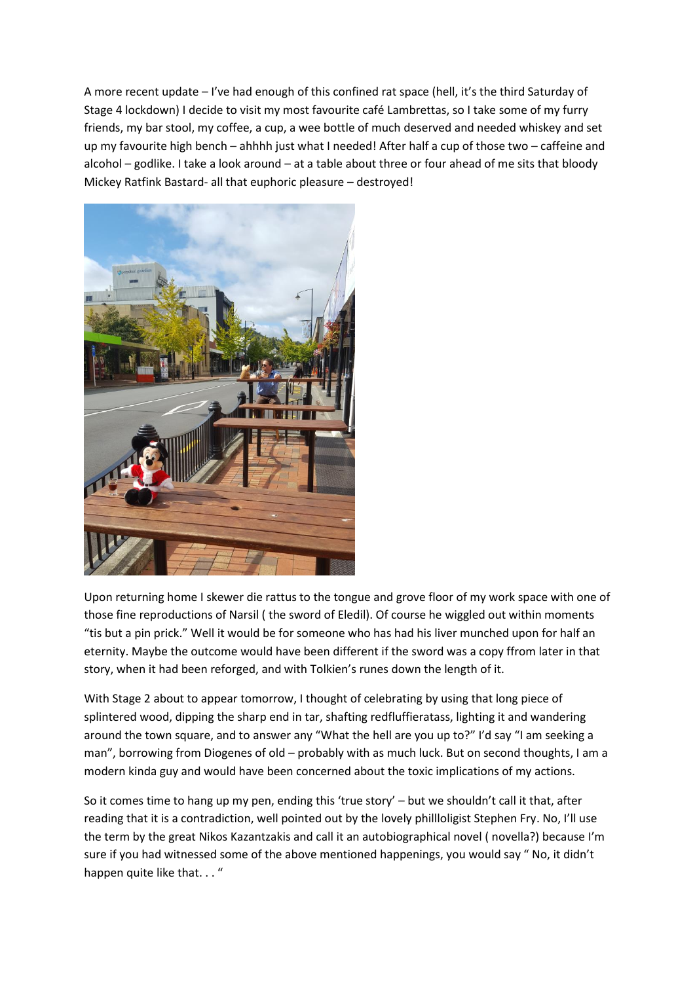A more recent update – I've had enough of this confined rat space (hell, it's the third Saturday of Stage 4 lockdown) I decide to visit my most favourite café Lambrettas, so I take some of my furry friends, my bar stool, my coffee, a cup, a wee bottle of much deserved and needed whiskey and set up my favourite high bench – ahhhh just what I needed! After half a cup of those two – caffeine and alcohol – godlike. I take a look around – at a table about three or four ahead of me sits that bloody Mickey Ratfink Bastard- all that euphoric pleasure – destroyed!



Upon returning home I skewer die rattus to the tongue and grove floor of my work space with one of those fine reproductions of Narsil ( the sword of Eledil). Of course he wiggled out within moments "tis but a pin prick." Well it would be for someone who has had his liver munched upon for half an eternity. Maybe the outcome would have been different if the sword was a copy ffrom later in that story, when it had been reforged, and with Tolkien's runes down the length of it.

With Stage 2 about to appear tomorrow, I thought of celebrating by using that long piece of splintered wood, dipping the sharp end in tar, shafting redfluffieratass, lighting it and wandering around the town square, and to answer any "What the hell are you up to?" I'd say "I am seeking a man", borrowing from Diogenes of old – probably with as much luck. But on second thoughts, I am a modern kinda guy and would have been concerned about the toxic implications of my actions.

So it comes time to hang up my pen, ending this 'true story' – but we shouldn't call it that, after reading that it is a contradiction, well pointed out by the lovely phillloligist Stephen Fry. No, I'll use the term by the great Nikos Kazantzakis and call it an autobiographical novel ( novella?) because I'm sure if you had witnessed some of the above mentioned happenings, you would say " No, it didn't happen quite like that..."